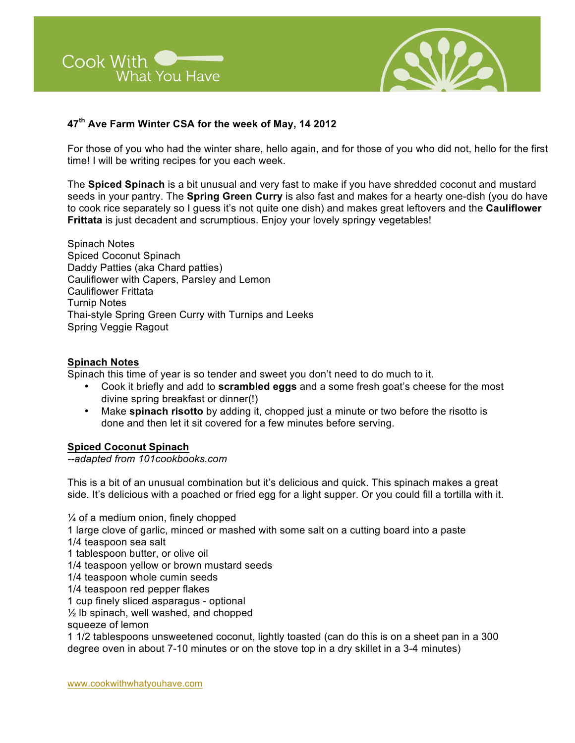



# **47th Ave Farm Winter CSA for the week of May, 14 2012**

For those of you who had the winter share, hello again, and for those of you who did not, hello for the first time! I will be writing recipes for you each week.

The **Spiced Spinach** is a bit unusual and very fast to make if you have shredded coconut and mustard seeds in your pantry. The **Spring Green Curry** is also fast and makes for a hearty one-dish (you do have to cook rice separately so I guess it's not quite one dish) and makes great leftovers and the **Cauliflower Frittata** is just decadent and scrumptious. Enjoy your lovely springy vegetables!

Spinach Notes Spiced Coconut Spinach Daddy Patties (aka Chard patties) Cauliflower with Capers, Parsley and Lemon Cauliflower Frittata Turnip Notes Thai-style Spring Green Curry with Turnips and Leeks Spring Veggie Ragout

#### **Spinach Notes**

Spinach this time of year is so tender and sweet you don't need to do much to it.

- Cook it briefly and add to **scrambled eggs** and a some fresh goat's cheese for the most divine spring breakfast or dinner(!)
- Make **spinach risotto** by adding it, chopped just a minute or two before the risotto is done and then let it sit covered for a few minutes before serving.

## **Spiced Coconut Spinach**

*--adapted from 101cookbooks.com*

This is a bit of an unusual combination but it's delicious and quick. This spinach makes a great side. It's delicious with a poached or fried egg for a light supper. Or you could fill a tortilla with it.

 $\frac{1}{4}$  of a medium onion, finely chopped 1 large clove of garlic, minced or mashed with some salt on a cutting board into a paste 1/4 teaspoon sea salt 1 tablespoon butter, or olive oil 1/4 teaspoon yellow or brown mustard seeds 1/4 teaspoon whole cumin seeds 1/4 teaspoon red pepper flakes 1 cup finely sliced asparagus - optional ½ lb spinach, well washed, and chopped squeeze of lemon 1 1/2 tablespoons unsweetened coconut, lightly toasted (can do this is on a sheet pan in a 300 degree oven in about 7-10 minutes or on the stove top in a dry skillet in a 3-4 minutes)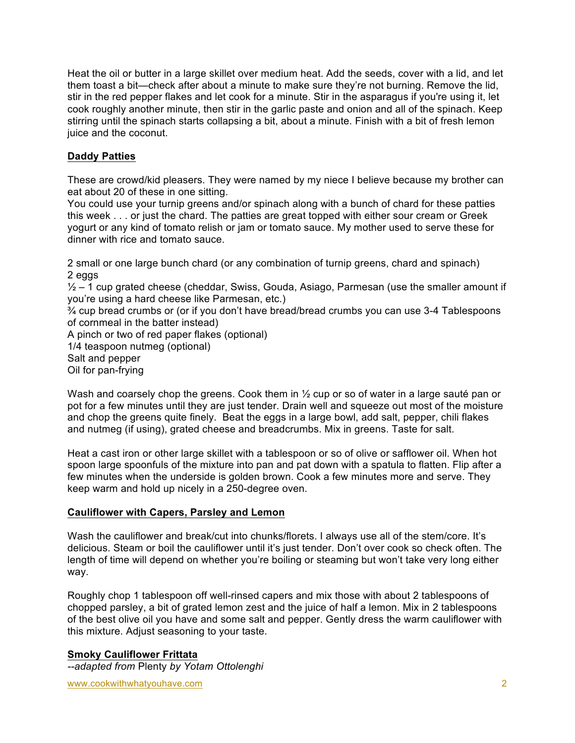Heat the oil or butter in a large skillet over medium heat. Add the seeds, cover with a lid, and let them toast a bit—check after about a minute to make sure they're not burning. Remove the lid, stir in the red pepper flakes and let cook for a minute. Stir in the asparagus if you're using it, let cook roughly another minute, then stir in the garlic paste and onion and all of the spinach. Keep stirring until the spinach starts collapsing a bit, about a minute. Finish with a bit of fresh lemon juice and the coconut.

# **Daddy Patties**

These are crowd/kid pleasers. They were named by my niece I believe because my brother can eat about 20 of these in one sitting.

You could use your turnip greens and/or spinach along with a bunch of chard for these patties this week . . . or just the chard. The patties are great topped with either sour cream or Greek yogurt or any kind of tomato relish or jam or tomato sauce. My mother used to serve these for dinner with rice and tomato sauce.

2 small or one large bunch chard (or any combination of turnip greens, chard and spinach) 2 eggs

 $\frac{1}{2}$  – 1 cup grated cheese (cheddar, Swiss, Gouda, Asiago, Parmesan (use the smaller amount if you're using a hard cheese like Parmesan, etc.)

¾ cup bread crumbs or (or if you don't have bread/bread crumbs you can use 3-4 Tablespoons of cornmeal in the batter instead)

A pinch or two of red paper flakes (optional)

1/4 teaspoon nutmeg (optional)

Salt and pepper

Oil for pan-frying

Wash and coarsely chop the greens. Cook them in  $\frac{1}{2}$  cup or so of water in a large sauté pan or pot for a few minutes until they are just tender. Drain well and squeeze out most of the moisture and chop the greens quite finely. Beat the eggs in a large bowl, add salt, pepper, chili flakes and nutmeg (if using), grated cheese and breadcrumbs. Mix in greens. Taste for salt.

Heat a cast iron or other large skillet with a tablespoon or so of olive or safflower oil. When hot spoon large spoonfuls of the mixture into pan and pat down with a spatula to flatten. Flip after a few minutes when the underside is golden brown. Cook a few minutes more and serve. They keep warm and hold up nicely in a 250-degree oven.

## **Cauliflower with Capers, Parsley and Lemon**

Wash the cauliflower and break/cut into chunks/florets. I always use all of the stem/core. It's delicious. Steam or boil the cauliflower until it's just tender. Don't over cook so check often. The length of time will depend on whether you're boiling or steaming but won't take very long either way.

Roughly chop 1 tablespoon off well-rinsed capers and mix those with about 2 tablespoons of chopped parsley, a bit of grated lemon zest and the juice of half a lemon. Mix in 2 tablespoons of the best olive oil you have and some salt and pepper. Gently dress the warm cauliflower with this mixture. Adjust seasoning to your taste.

**Smoky Cauliflower Frittata** *--adapted from* Plenty *by Yotam Ottolenghi*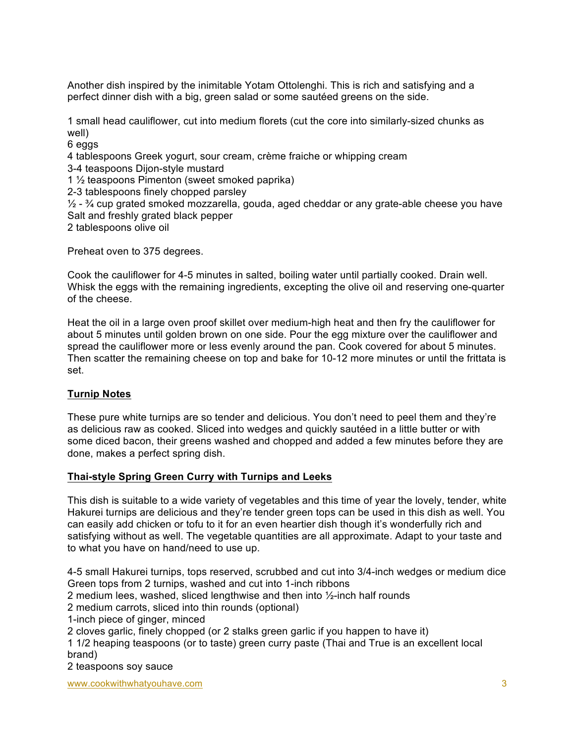Another dish inspired by the inimitable Yotam Ottolenghi. This is rich and satisfying and a perfect dinner dish with a big, green salad or some sautéed greens on the side.

1 small head cauliflower, cut into medium florets (cut the core into similarly-sized chunks as well)

6 eggs

4 tablespoons Greek yogurt, sour cream, crème fraiche or whipping cream

3-4 teaspoons Dijon-style mustard

1 ½ teaspoons Pimenton (sweet smoked paprika)

2-3 tablespoons finely chopped parsley

 $\frac{1}{2}$  -  $\frac{3}{4}$  cup grated smoked mozzarella, gouda, aged cheddar or any grate-able cheese you have Salt and freshly grated black pepper

2 tablespoons olive oil

Preheat oven to 375 degrees.

Cook the cauliflower for 4-5 minutes in salted, boiling water until partially cooked. Drain well. Whisk the eggs with the remaining ingredients, excepting the olive oil and reserving one-quarter of the cheese.

Heat the oil in a large oven proof skillet over medium-high heat and then fry the cauliflower for about 5 minutes until golden brown on one side. Pour the egg mixture over the cauliflower and spread the cauliflower more or less evenly around the pan. Cook covered for about 5 minutes. Then scatter the remaining cheese on top and bake for 10-12 more minutes or until the frittata is set.

## **Turnip Notes**

These pure white turnips are so tender and delicious. You don't need to peel them and they're as delicious raw as cooked. Sliced into wedges and quickly sautéed in a little butter or with some diced bacon, their greens washed and chopped and added a few minutes before they are done, makes a perfect spring dish.

#### **Thai-style Spring Green Curry with Turnips and Leeks**

This dish is suitable to a wide variety of vegetables and this time of year the lovely, tender, white Hakurei turnips are delicious and they're tender green tops can be used in this dish as well. You can easily add chicken or tofu to it for an even heartier dish though it's wonderfully rich and satisfying without as well. The vegetable quantities are all approximate. Adapt to your taste and to what you have on hand/need to use up.

4-5 small Hakurei turnips, tops reserved, scrubbed and cut into 3/4-inch wedges or medium dice Green tops from 2 turnips, washed and cut into 1-inch ribbons

2 medium lees, washed, sliced lengthwise and then into ½-inch half rounds

2 medium carrots, sliced into thin rounds (optional)

1-inch piece of ginger, minced

2 cloves garlic, finely chopped (or 2 stalks green garlic if you happen to have it)

1 1/2 heaping teaspoons (or to taste) green curry paste (Thai and True is an excellent local brand)

2 teaspoons soy sauce